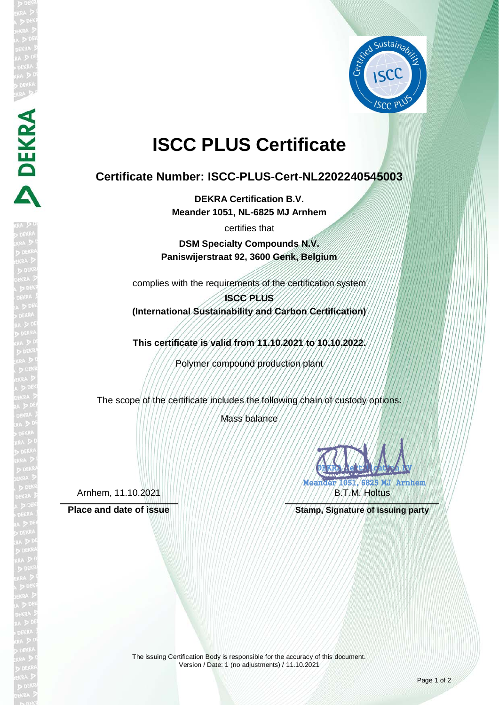

# **ISCC PLUS Certificate**

## **Certificate Number: ISCC-PLUS-Cert-NL2202240545003**

**DEKRA Certification B.V. Meander 1051, NL-6825 MJ Arnhem**

certifies that

**DSM Specialty Compounds N.V. Paniswijerstraat 92, 3600 Genk, Belgium**

complies with the requirements of the certification system

### **ISCC PLUS (International Sustainability and Carbon Certification)**

**This certificate is valid from 11.10.2021 to 10.10.2022.**

Polymer compound production plant

The scope of the certificate includes the following chain of custody options:

Mass balance

DEKRA **CELTIFICATION** Meander 1051, 6825 MJ Arnhem FRANCH B.T.M. Holtus

**Place and date of issue <b>Stamp**, Signature of issuing party

Arnhem, 11.10.2021

DEKRA

The issuing Certification Body is responsible for the accuracy of this document. Version / Date: 1 (no adjustments) / 11.10.2021